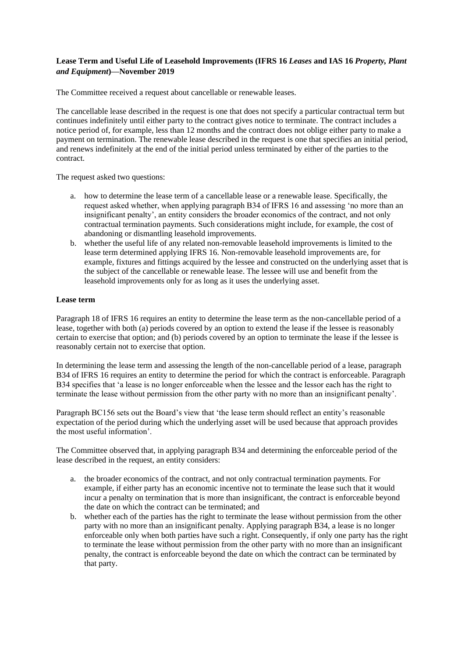## **Lease Term and Useful Life of Leasehold Improvements (IFRS 16** *Leases* **and IAS 16** *Property, Plant and Equipment***)—November 2019**

The Committee received a request about cancellable or renewable leases.

The cancellable lease described in the request is one that does not specify a particular contractual term but continues indefinitely until either party to the contract gives notice to terminate. The contract includes a notice period of, for example, less than 12 months and the contract does not oblige either party to make a payment on termination. The renewable lease described in the request is one that specifies an initial period, and renews indefinitely at the end of the initial period unless terminated by either of the parties to the contract.

The request asked two questions:

- a. how to determine the lease term of a cancellable lease or a renewable lease. Specifically, the request asked whether, when applying paragraph B34 of IFRS 16 and assessing 'no more than an insignificant penalty', an entity considers the broader economics of the contract, and not only contractual termination payments. Such considerations might include, for example, the cost of abandoning or dismantling leasehold improvements.
- b. whether the useful life of any related non-removable leasehold improvements is limited to the lease term determined applying IFRS 16. Non-removable leasehold improvements are, for example, fixtures and fittings acquired by the lessee and constructed on the underlying asset that is the subject of the cancellable or renewable lease. The lessee will use and benefit from the leasehold improvements only for as long as it uses the underlying asset.

## **Lease term**

Paragraph 18 of IFRS 16 requires an entity to determine the lease term as the non-cancellable period of a lease, together with both (a) periods covered by an option to extend the lease if the lessee is reasonably certain to exercise that option; and (b) periods covered by an option to terminate the lease if the lessee is reasonably certain not to exercise that option.

In determining the lease term and assessing the length of the non-cancellable period of a lease, paragraph B34 of IFRS 16 requires an entity to determine the period for which the contract is enforceable. Paragraph B34 specifies that 'a lease is no longer enforceable when the lessee and the lessor each has the right to terminate the lease without permission from the other party with no more than an insignificant penalty'.

Paragraph BC156 sets out the Board's view that 'the lease term should reflect an entity's reasonable expectation of the period during which the underlying asset will be used because that approach provides the most useful information'.

The Committee observed that, in applying paragraph B34 and determining the enforceable period of the lease described in the request, an entity considers:

- a. the broader economics of the contract, and not only contractual termination payments. For example, if either party has an economic incentive not to terminate the lease such that it would incur a penalty on termination that is more than insignificant, the contract is enforceable beyond the date on which the contract can be terminated; and
- b. whether each of the parties has the right to terminate the lease without permission from the other party with no more than an insignificant penalty. Applying paragraph B34, a lease is no longer enforceable only when both parties have such a right. Consequently, if only one party has the right to terminate the lease without permission from the other party with no more than an insignificant penalty, the contract is enforceable beyond the date on which the contract can be terminated by that party.